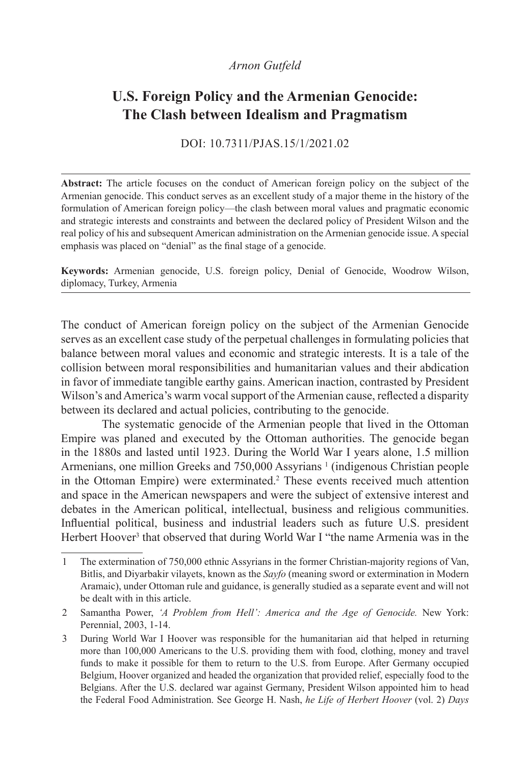# *Arnon Gutfeld*

# **U.S. Foreign Policy and the Armenian Genocide: The Clash between Idealism and Pragmatism**

DOI: 10.7311/PJAS.15/1/2021.02

**Abstract:** The article focuses on the conduct of American foreign policy on the subject of the Armenian genocide. This conduct serves as an excellent study of a major theme in the history of the formulation of American foreign policy—the clash between moral values and pragmatic economic and strategic interests and constraints and between the declared policy of President Wilson and the real policy of his and subsequent American administration on the Armenian genocide issue. A special emphasis was placed on "denial" as the final stage of a genocide.

**Keywords:** Armenian genocide, U.S. foreign policy, Denial of Genocide, Woodrow Wilson, diplomacy, Turkey, Armenia

The conduct of American foreign policy on the subject of the Armenian Genocide serves as an excellent case study of the perpetual challenges in formulating policies that balance between moral values and economic and strategic interests. It is a tale of the collision between moral responsibilities and humanitarian values and their abdication in favor of immediate tangible earthy gains. American inaction, contrasted by President Wilson's and America's warm vocal support of the Armenian cause, reflected a disparity between its declared and actual policies, contributing to the genocide.

The systematic genocide of the Armenian people that lived in the Ottoman Empire was planed and executed by the Ottoman authorities. The genocide began in the 1880s and lasted until 1923. During the World War I years alone, 1.5 million Armenians, one million Greeks and 750,000 Assyrians<sup>1</sup> (indigenous Christian people in the Ottoman Empire) were exterminated.<sup>2</sup> These events received much attention and space in the American newspapers and were the subject of extensive interest and debates in the American political, intellectual, business and religious communities. Influential political, business and industrial leaders such as future U.S. president Herbert Hoover<sup>3</sup> that observed that during World War I "the name Armenia was in the

<sup>1</sup> The extermination of 750,000 ethnic Assyrians in the former Christian-majority regions of Van, Bitlis, and Diyarbakir vilayets, known as the *Sayfo* (meaning sword or extermination in Modern Aramaic), under Ottoman rule and guidance, is generally studied as a separate event and will not be dealt with in this article.

<sup>2</sup> Samantha Power, *'A Problem from Hell': America and the Age of Genocide.* New York: Perennial, 2003, 1-14.

<sup>3</sup> During World War I Hoover was responsible for the humanitarian aid that helped in returning more than 100,000 Americans to the U.S. providing them with food, clothing, money and travel funds to make it possible for them to return to the U.S. from Europe. After Germany occupied Belgium, Hoover organized and headed the organization that provided relief, especially food to the Belgians. After the U.S. declared war against Germany, President Wilson appointed him to head the Federal Food Administration. See George H. Nash, *he Life of Herbert Hoover* (vol. 2) *Days*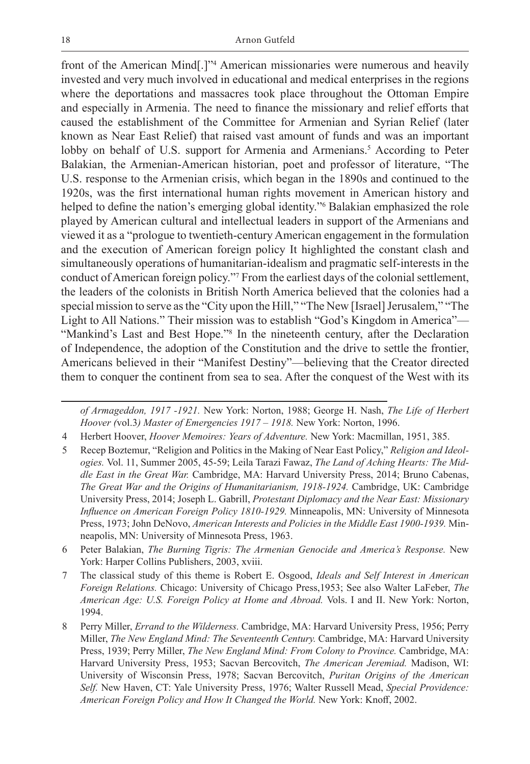front of the American Mind[.]"4 American missionaries were numerous and heavily invested and very much involved in educational and medical enterprises in the regions where the deportations and massacres took place throughout the Ottoman Empire and especially in Armenia. The need to finance the missionary and relief efforts that caused the establishment of the Committee for Armenian and Syrian Relief (later known as Near East Relief) that raised vast amount of funds and was an important lobby on behalf of U.S. support for Armenia and Armenians.<sup>5</sup> According to Peter Balakian, the Armenian-American historian, poet and professor of literature, "The U.S. response to the Armenian crisis, which began in the 1890s and continued to the 1920s, was the first international human rights movement in American history and helped to define the nation's emerging global identity."<sup>6</sup> Balakian emphasized the role played by American cultural and intellectual leaders in support of the Armenians and viewed it as a "prologue to twentieth-century American engagement in the formulation and the execution of American foreign policy It highlighted the constant clash and simultaneously operations of humanitarian-idealism and pragmatic self-interests in the conduct of American foreign policy."7 From the earliest days of the colonial settlement, the leaders of the colonists in British North America believed that the colonies had a special mission to serve as the "City upon the Hill," "The New [Israel] Jerusalem," "The Light to All Nations." Their mission was to establish "God's Kingdom in America"— "Mankind's Last and Best Hope."<sup>8</sup> In the nineteenth century, after the Declaration of Independence, the adoption of the Constitution and the drive to settle the frontier, Americans believed in their "Manifest Destiny"—believing that the Creator directed them to conquer the continent from sea to sea. After the conquest of the West with its

*of Armageddon, 1917 -1921.* New York: Norton, 1988; George H. Nash, *The Life of Herbert Hoover (*vol.3*) Master of Emergencies 1917 – 1918.* New York: Norton, 1996.

- 4 Herbert Hoover, *Hoover Memoires: Years of Adventure.* New York: Macmillan, 1951, 385.
- 5 Recep Boztemur, "Religion and Politics in the Making of Near East Policy," *Religion and Ideologies.* Vol. 11, Summer 2005, 45-59; Leila Tarazi Fawaz, *The Land of Aching Hearts: The Middle East in the Great War.* Cambridge, MA: Harvard University Press, 2014; Bruno Cabenas, *The Great War and the Origins of Humanitarianism, 1918-1924.* Cambridge, UK: Cambridge University Press, 2014; Joseph L. Gabrill, *Protestant Diplomacy and the Near East: Missionary Influence on American Foreign Policy 1810-1929.* Minneapolis, MN: University of Minnesota Press, 1973; John DeNovo, *American Interests and Policies in the Middle East 1900-1939.* Minneapolis, MN: University of Minnesota Press, 1963.
- 6 Peter Balakian, *The Burning Tigris: The Armenian Genocide and America's Response.* New York: Harper Collins Publishers, 2003, xviii.
- 7 The classical study of this theme is Robert E. Osgood, *Ideals and Self Interest in American Foreign Relations.* Chicago: University of Chicago Press,1953; See also Walter LaFeber, *The American Age: U.S. Foreign Policy at Home and Abroad.* Vols. I and II. New York: Norton, 1994.
- 8 Perry Miller, *Errand to the Wilderness.* Cambridge, MA: Harvard University Press, 1956; Perry Miller, *The New England Mind: The Seventeenth Century.* Cambridge, MA: Harvard University Press, 1939; Perry Miller, *The New England Mind: From Colony to Province.* Cambridge, MA: Harvard University Press, 1953; Sacvan Bercovitch, *The American Jeremiad.* Madison, WI: University of Wisconsin Press, 1978; Sacvan Bercovitch, *Puritan Origins of the American Self.* New Haven, CT: Yale University Press, 1976; Walter Russell Mead, *Special Providence: American Foreign Policy and How It Changed the World.* New York: Knoff, 2002.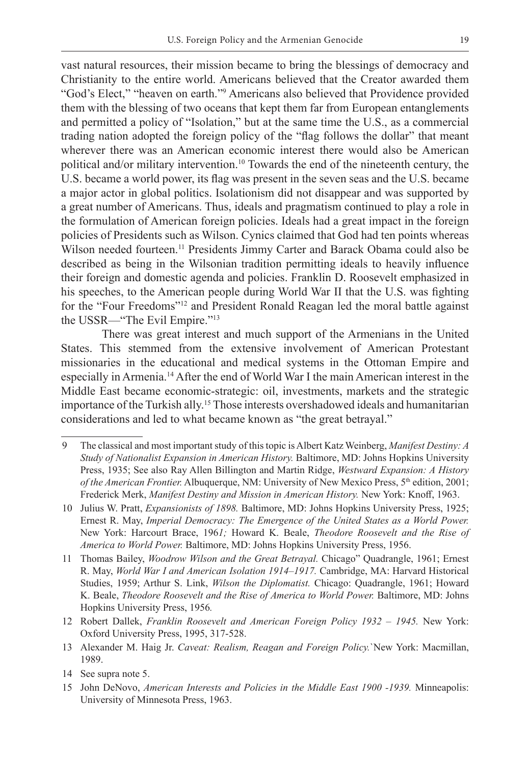vast natural resources, their mission became to bring the blessings of democracy and Christianity to the entire world. Americans believed that the Creator awarded them "God's Elect," "heaven on earth."9 Americans also believed that Providence provided them with the blessing of two oceans that kept them far from European entanglements and permitted a policy of "Isolation," but at the same time the U.S., as a commercial trading nation adopted the foreign policy of the "flag follows the dollar" that meant wherever there was an American economic interest there would also be American political and/or military intervention.<sup>10</sup> Towards the end of the nineteenth century, the U.S. became a world power, its flag was present in the seven seas and the U.S. became a major actor in global politics. Isolationism did not disappear and was supported by a great number of Americans. Thus, ideals and pragmatism continued to play a role in the formulation of American foreign policies. Ideals had a great impact in the foreign policies of Presidents such as Wilson. Cynics claimed that God had ten points whereas Wilson needed fourteen.<sup>11</sup> Presidents Jimmy Carter and Barack Obama could also be described as being in the Wilsonian tradition permitting ideals to heavily influence their foreign and domestic agenda and policies. Franklin D. Roosevelt emphasized in his speeches, to the American people during World War II that the U.S. was fighting for the "Four Freedoms"<sup>12</sup> and President Ronald Reagan led the moral battle against the USSR—"The Evil Empire."13

There was great interest and much support of the Armenians in the United States. This stemmed from the extensive involvement of American Protestant missionaries in the educational and medical systems in the Ottoman Empire and especially in Armenia.14 After the end of World War I the main American interest in the Middle East became economic-strategic: oil, investments, markets and the strategic importance of the Turkish ally.<sup>15</sup> Those interests overshadowed ideals and humanitarian considerations and led to what became known as "the great betrayal."

- 12 Robert Dallek, *Franklin Roosevelt and American Foreign Policy 1932 1945.* New York: Oxford University Press, 1995, 317-528.
- 13 Alexander M. Haig Jr. *Caveat: Realism, Reagan and Foreign Policy.*`New York: Macmillan, 1989.

<sup>9</sup> The classical and most important study of this topic is Albert Katz Weinberg, *Manifest Destiny: A Study of Nationalist Expansion in American History.* Baltimore, MD: Johns Hopkins University Press, 1935; See also Ray Allen Billington and Martin Ridge, *Westward Expansion: A History of the American Frontier.* Albuquerque, NM: University of New Mexico Press, 5<sup>th</sup> edition, 2001; Frederick Merk, *Manifest Destiny and Mission in American History.* New York: Knoff, 1963.

<sup>10</sup> Julius W. Pratt, *Expansionists of 1898.* Baltimore, MD: Johns Hopkins University Press, 1925; Ernest R. May, *Imperial Democracy: The Emergence of the United States as a World Power.*  New York: Harcourt Brace, 196*1;* Howard K. Beale, *Theodore Roosevelt and the Rise of America to World Power.* Baltimore, MD: Johns Hopkins University Press, 1956.

<sup>11</sup> Thomas Bailey, *Woodrow Wilson and the Great Betrayal.* Chicago" Quadrangle, 1961; Ernest R. May, *World War I and American Isolation 1914–1917.* Cambridge, MA: Harvard Historical Studies, 1959; Arthur S. Link, *Wilson the Diplomatist.* Chicago: Quadrangle, 1961; Howard K. Beale, *Theodore Roosevelt and the Rise of America to World Power.* Baltimore, MD: Johns Hopkins University Press, 1956*.* 

<sup>14</sup> See supra note 5.

<sup>15</sup> John DeNovo, *American Interests and Policies in the Middle East 1900 -1939.* Minneapolis: University of Minnesota Press, 1963.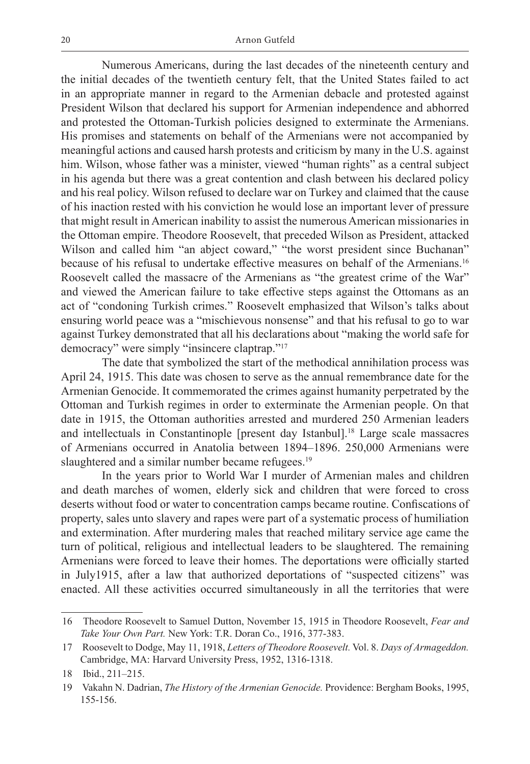Numerous Americans, during the last decades of the nineteenth century and the initial decades of the twentieth century felt, that the United States failed to act in an appropriate manner in regard to the Armenian debacle and protested against President Wilson that declared his support for Armenian independence and abhorred and protested the Ottoman-Turkish policies designed to exterminate the Armenians. His promises and statements on behalf of the Armenians were not accompanied by meaningful actions and caused harsh protests and criticism by many in the U.S. against him. Wilson, whose father was a minister, viewed "human rights" as a central subject in his agenda but there was a great contention and clash between his declared policy and his real policy. Wilson refused to declare war on Turkey and claimed that the cause of his inaction rested with his conviction he would lose an important lever of pressure that might result in American inability to assist the numerous American missionaries in the Ottoman empire. Theodore Roosevelt, that preceded Wilson as President, attacked Wilson and called him "an abject coward," "the worst president since Buchanan" because of his refusal to undertake effective measures on behalf of the Armenians.<sup>16</sup> Roosevelt called the massacre of the Armenians as "the greatest crime of the War" and viewed the American failure to take effective steps against the Ottomans as an act of "condoning Turkish crimes." Roosevelt emphasized that Wilson's talks about ensuring world peace was a "mischievous nonsense" and that his refusal to go to war against Turkey demonstrated that all his declarations about "making the world safe for democracy" were simply "insincere claptrap."17

 The date that symbolized the start of the methodical annihilation process was April 24, 1915. This date was chosen to serve as the annual remembrance date for the Armenian Genocide. It commemorated the crimes against humanity perpetrated by the Ottoman and Turkish regimes in order to exterminate the Armenian people. On that date in 1915, the Ottoman authorities arrested and murdered 250 Armenian leaders and intellectuals in Constantinople [present day Istanbul].18 Large scale massacres of Armenians occurred in Anatolia between 1894–1896. 250,000 Armenians were slaughtered and a similar number became refugees.<sup>19</sup>

 In the years prior to World War I murder of Armenian males and children and death marches of women, elderly sick and children that were forced to cross deserts without food or water to concentration camps became routine. Confiscations of property, sales unto slavery and rapes were part of a systematic process of humiliation and extermination. After murdering males that reached military service age came the turn of political, religious and intellectual leaders to be slaughtered. The remaining Armenians were forced to leave their homes. The deportations were officially started in July1915, after a law that authorized deportations of "suspected citizens" was enacted. All these activities occurred simultaneously in all the territories that were

<sup>16</sup> Theodore Roosevelt to Samuel Dutton, November 15, 1915 in Theodore Roosevelt, *Fear and Take Your Own Part.* New York: T.R. Doran Co., 1916, 377-383.

<sup>17</sup> Roosevelt to Dodge, May 11, 1918, *Letters of Theodore Roosevelt.* Vol. 8. *Days of Armageddon.*  Cambridge, MA: Harvard University Press, 1952, 1316-1318.

<sup>18</sup> Ibid., 211–215.

<sup>19</sup> Vakahn N. Dadrian, *The History of the Armenian Genocide.* Providence: Bergham Books, 1995, 155-156.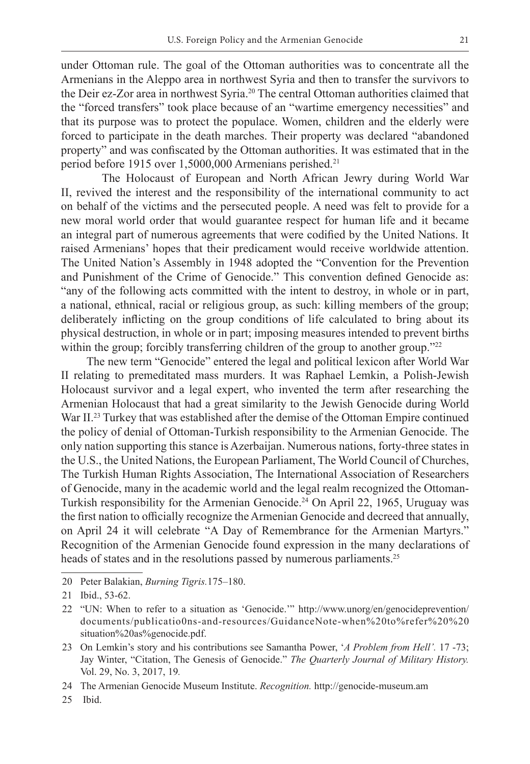under Ottoman rule. The goal of the Ottoman authorities was to concentrate all the Armenians in the Aleppo area in northwest Syria and then to transfer the survivors to the Deir ez-Zor area in northwest Syria.<sup>20</sup> The central Ottoman authorities claimed that the "forced transfers" took place because of an "wartime emergency necessities" and that its purpose was to protect the populace. Women, children and the elderly were forced to participate in the death marches. Their property was declared "abandoned property" and was confiscated by the Ottoman authorities. It was estimated that in the period before 1915 over 1,5000,000 Armenians perished.<sup>21</sup>

 The Holocaust of European and North African Jewry during World War II, revived the interest and the responsibility of the international community to act on behalf of the victims and the persecuted people. A need was felt to provide for a new moral world order that would guarantee respect for human life and it became an integral part of numerous agreements that were codified by the United Nations. It raised Armenians' hopes that their predicament would receive worldwide attention. The United Nation's Assembly in 1948 adopted the "Convention for the Prevention and Punishment of the Crime of Genocide." This convention defined Genocide as: "any of the following acts committed with the intent to destroy, in whole or in part, a national, ethnical, racial or religious group, as such: killing members of the group; deliberately inflicting on the group conditions of life calculated to bring about its physical destruction, in whole or in part; imposing measures intended to prevent births within the group; forcibly transferring children of the group to another group."<sup>22</sup>

The new term "Genocide" entered the legal and political lexicon after World War II relating to premeditated mass murders. It was Raphael Lemkin, a Polish-Jewish Holocaust survivor and a legal expert, who invented the term after researching the Armenian Holocaust that had a great similarity to the Jewish Genocide during World War II.<sup>23</sup> Turkey that was established after the demise of the Ottoman Empire continued the policy of denial of Ottoman-Turkish responsibility to the Armenian Genocide. The only nation supporting this stance is Azerbaijan. Numerous nations, forty-three states in the U.S., the United Nations, the European Parliament, The World Council of Churches, The Turkish Human Rights Association, The International Association of Researchers of Genocide, many in the academic world and the legal realm recognized the Ottoman-Turkish responsibility for the Armenian Genocide.24 On April 22, 1965, Uruguay was the first nation to officially recognize the Armenian Genocide and decreed that annually, on April 24 it will celebrate "A Day of Remembrance for the Armenian Martyrs." Recognition of the Armenian Genocide found expression in the many declarations of heads of states and in the resolutions passed by numerous parliaments.<sup>25</sup>

20 Peter Balakian, *Burning Tigris.*175–180.

- 23 On Lemkin's story and his contributions see Samantha Power, '*A Problem from Hell'.* 17 -73; Jay Winter, "Citation, The Genesis of Genocide." *The Quarterly Journal of Military History.*  Vol. 29, No. 3, 2017, 19*.*
- 24 The Armenian Genocide Museum Institute. *Recognition.* http://genocide-museum.am

25 Ibid.

<sup>21</sup> Ibid., 53-62.

<sup>22</sup> "UN: When to refer to a situation as 'Genocide.'" http://www.unorg/en/genocideprevention/ documents/publicatio0ns-and-resources/GuidanceNote-when%20to%refer%20%20 situation%20as%genocide.pdf.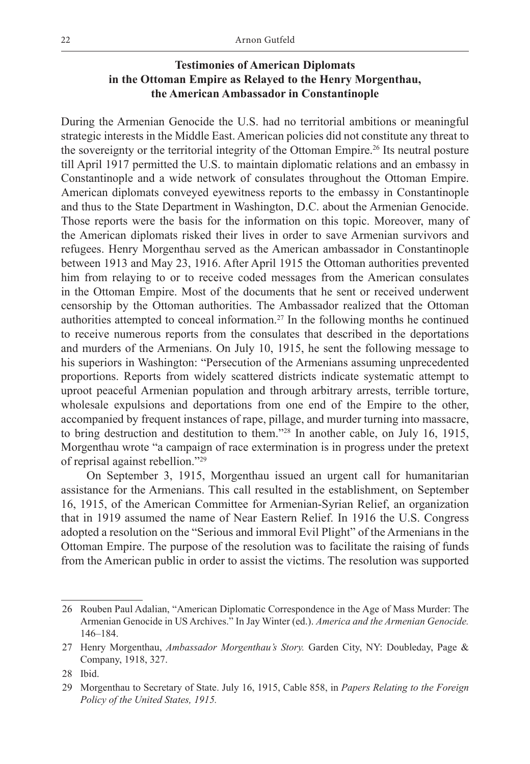# **Testimonies of American Diplomats in the Ottoman Empire as Relayed to the Henry Morgenthau, the American Ambassador in Constantinople**

During the Armenian Genocide the U.S. had no territorial ambitions or meaningful strategic interests in the Middle East. American policies did not constitute any threat to the sovereignty or the territorial integrity of the Ottoman Empire.26 Its neutral posture till April 1917 permitted the U.S. to maintain diplomatic relations and an embassy in Constantinople and a wide network of consulates throughout the Ottoman Empire. American diplomats conveyed eyewitness reports to the embassy in Constantinople and thus to the State Department in Washington, D.C. about the Armenian Genocide. Those reports were the basis for the information on this topic. Moreover, many of the American diplomats risked their lives in order to save Armenian survivors and refugees. Henry Morgenthau served as the American ambassador in Constantinople between 1913 and May 23, 1916. After April 1915 the Ottoman authorities prevented him from relaying to or to receive coded messages from the American consulates in the Ottoman Empire. Most of the documents that he sent or received underwent censorship by the Ottoman authorities. The Ambassador realized that the Ottoman authorities attempted to conceal information.27 In the following months he continued to receive numerous reports from the consulates that described in the deportations and murders of the Armenians. On July 10, 1915, he sent the following message to his superiors in Washington: "Persecution of the Armenians assuming unprecedented proportions. Reports from widely scattered districts indicate systematic attempt to uproot peaceful Armenian population and through arbitrary arrests, terrible torture, wholesale expulsions and deportations from one end of the Empire to the other, accompanied by frequent instances of rape, pillage, and murder turning into massacre, to bring destruction and destitution to them."28 In another cable, on July 16, 1915, Morgenthau wrote "a campaign of race extermination is in progress under the pretext of reprisal against rebellion."29

On September 3, 1915, Morgenthau issued an urgent call for humanitarian assistance for the Armenians. This call resulted in the establishment, on September 16, 1915, of the American Committee for Armenian-Syrian Relief, an organization that in 1919 assumed the name of Near Eastern Relief. In 1916 the U.S. Congress adopted a resolution on the "Serious and immoral Evil Plight" of the Armenians in the Ottoman Empire. The purpose of the resolution was to facilitate the raising of funds from the American public in order to assist the victims. The resolution was supported

<sup>26</sup> Rouben Paul Adalian, "American Diplomatic Correspondence in the Age of Mass Murder: The Armenian Genocide in US Archives." In Jay Winter (ed.). *America and the Armenian Genocide.* 146–184.

<sup>27</sup> Henry Morgenthau, *Ambassador Morgenthau's Story.* Garden City, NY: Doubleday, Page & Company, 1918, 327.

<sup>28</sup> Ibid.

<sup>29</sup> Morgenthau to Secretary of State. July 16, 1915, Cable 858, in *Papers Relating to the Foreign Policy of the United States, 1915.*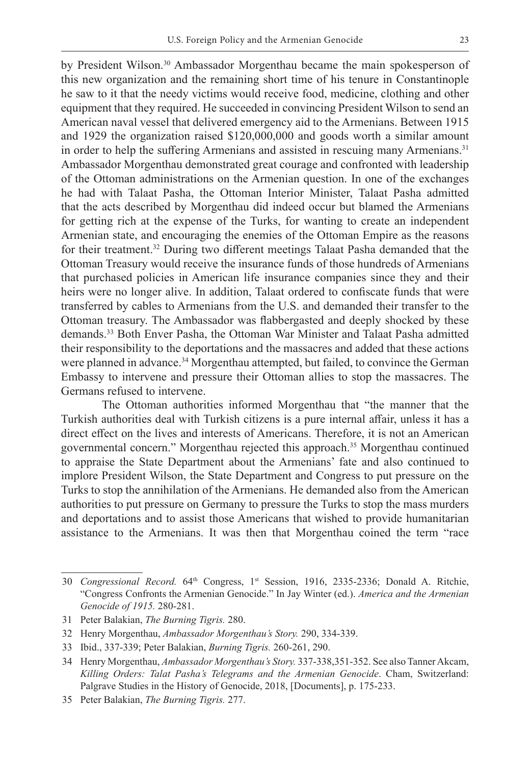by President Wilson.<sup>30</sup> Ambassador Morgenthau became the main spokesperson of this new organization and the remaining short time of his tenure in Constantinople he saw to it that the needy victims would receive food, medicine, clothing and other equipment that they required. He succeeded in convincing President Wilson to send an American naval vessel that delivered emergency aid to the Armenians. Between 1915 and 1929 the organization raised \$120,000,000 and goods worth a similar amount in order to help the suffering Armenians and assisted in rescuing many Armenians.<sup>31</sup> Ambassador Morgenthau demonstrated great courage and confronted with leadership of the Ottoman administrations on the Armenian question. In one of the exchanges he had with Talaat Pasha, the Ottoman Interior Minister, Talaat Pasha admitted that the acts described by Morgenthau did indeed occur but blamed the Armenians for getting rich at the expense of the Turks, for wanting to create an independent Armenian state, and encouraging the enemies of the Ottoman Empire as the reasons for their treatment.<sup>32</sup> During two different meetings Talaat Pasha demanded that the Ottoman Treasury would receive the insurance funds of those hundreds of Armenians that purchased policies in American life insurance companies since they and their heirs were no longer alive. In addition, Talaat ordered to confiscate funds that were transferred by cables to Armenians from the U.S. and demanded their transfer to the Ottoman treasury. The Ambassador was flabbergasted and deeply shocked by these demands.33 Both Enver Pasha, the Ottoman War Minister and Talaat Pasha admitted their responsibility to the deportations and the massacres and added that these actions were planned in advance.<sup>34</sup> Morgenthau attempted, but failed, to convince the German Embassy to intervene and pressure their Ottoman allies to stop the massacres. The Germans refused to intervene.

 The Ottoman authorities informed Morgenthau that "the manner that the Turkish authorities deal with Turkish citizens is a pure internal affair, unless it has a direct effect on the lives and interests of Americans. Therefore, it is not an American governmental concern." Morgenthau rejected this approach.35 Morgenthau continued to appraise the State Department about the Armenians' fate and also continued to implore President Wilson, the State Department and Congress to put pressure on the Turks to stop the annihilation of the Armenians. He demanded also from the American authorities to put pressure on Germany to pressure the Turks to stop the mass murders and deportations and to assist those Americans that wished to provide humanitarian assistance to the Armenians. It was then that Morgenthau coined the term "race

<sup>30</sup> *Congressional Record.* 64th Congress, 1st Session, 1916, 2335-2336; Donald A. Ritchie, "Congress Confronts the Armenian Genocide." In Jay Winter (ed.). *America and the Armenian Genocide of 1915.* 280-281.

<sup>31</sup> Peter Balakian, *The Burning Tigris.* 280.

<sup>32</sup> Henry Morgenthau, *Ambassador Morgenthau's Story.* 290, 334-339.

<sup>33</sup> Ibid., 337-339; Peter Balakian, *Burning Tigris.* 260-261, 290.

<sup>34</sup> Henry Morgenthau, *Ambassador Morgenthau's Story.* 337-338,351-352. See also Tanner Akcam, *Killing Orders: Talat Pasha's Telegrams and the Armenian Genocide*. Cham, Switzerland: Palgrave Studies in the History of Genocide, 2018, [Documents], p. 175-233.

<sup>35</sup> Peter Balakian, *The Burning Tigris.* 277.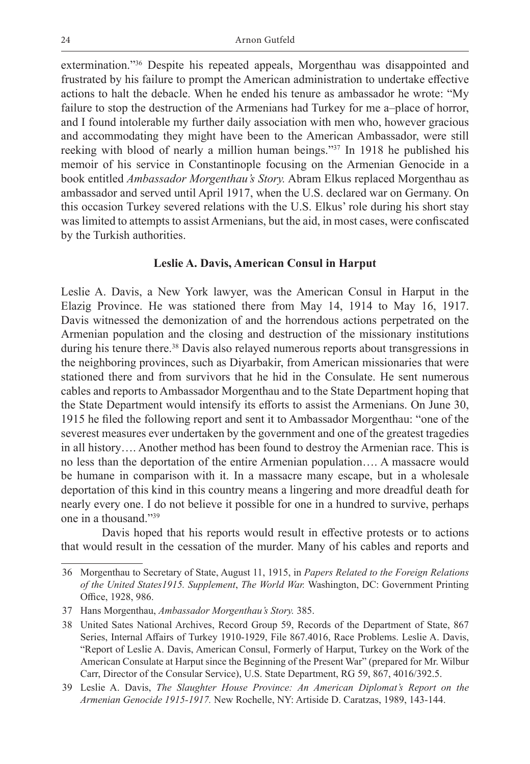extermination."36 Despite his repeated appeals, Morgenthau was disappointed and frustrated by his failure to prompt the American administration to undertake effective actions to halt the debacle. When he ended his tenure as ambassador he wrote: "My failure to stop the destruction of the Armenians had Turkey for me a–place of horror, and I found intolerable my further daily association with men who, however gracious and accommodating they might have been to the American Ambassador, were still reeking with blood of nearly a million human beings."37 In 1918 he published his memoir of his service in Constantinople focusing on the Armenian Genocide in a book entitled *Ambassador Morgenthau's Story.* Abram Elkus replaced Morgenthau as ambassador and served until April 1917, when the U.S. declared war on Germany. On this occasion Turkey severed relations with the U.S. Elkus' role during his short stay was limited to attempts to assist Armenians, but the aid, in most cases, were confiscated by the Turkish authorities.

#### **Leslie A. Davis, American Consul in Harput**

Leslie A. Davis, a New York lawyer, was the American Consul in Harput in the Elazig Province. He was stationed there from May 14, 1914 to May 16, 1917. Davis witnessed the demonization of and the horrendous actions perpetrated on the Armenian population and the closing and destruction of the missionary institutions during his tenure there.<sup>38</sup> Davis also relayed numerous reports about transgressions in the neighboring provinces, such as Diyarbakir, from American missionaries that were stationed there and from survivors that he hid in the Consulate. He sent numerous cables and reports to Ambassador Morgenthau and to the State Department hoping that the State Department would intensify its efforts to assist the Armenians. On June 30, 1915 he filed the following report and sent it to Ambassador Morgenthau: "one of the severest measures ever undertaken by the government and one of the greatest tragedies in all history…. Another method has been found to destroy the Armenian race. This is no less than the deportation of the entire Armenian population…. A massacre would be humane in comparison with it. In a massacre many escape, but in a wholesale deportation of this kind in this country means a lingering and more dreadful death for nearly every one. I do not believe it possible for one in a hundred to survive, perhaps one in a thousand."39

Davis hoped that his reports would result in effective protests or to actions that would result in the cessation of the murder. Many of his cables and reports and

<sup>36</sup> Morgenthau to Secretary of State, August 11, 1915, in *Papers Related to the Foreign Relations of the United States1915. Supplement*, *The World War.* Washington, DC: Government Printing Office, 1928, 986.

<sup>37</sup> Hans Morgenthau, *Ambassador Morgenthau's Story.* 385.

<sup>38</sup> United Sates National Archives, Record Group 59, Records of the Department of State, 867 Series, Internal Affairs of Turkey 1910-1929, File 867.4016, Race Problems. Leslie A. Davis, "Report of Leslie A. Davis, American Consul, Formerly of Harput, Turkey on the Work of the American Consulate at Harput since the Beginning of the Present War" (prepared for Mr. Wilbur Carr, Director of the Consular Service), U.S. State Department, RG 59, 867, 4016/392.5.

<sup>39</sup> Leslie A. Davis, *The Slaughter House Province: An American Diplomat's Report on the Armenian Genocide 1915-1917.* New Rochelle, NY: Artiside D. Caratzas, 1989, 143-144.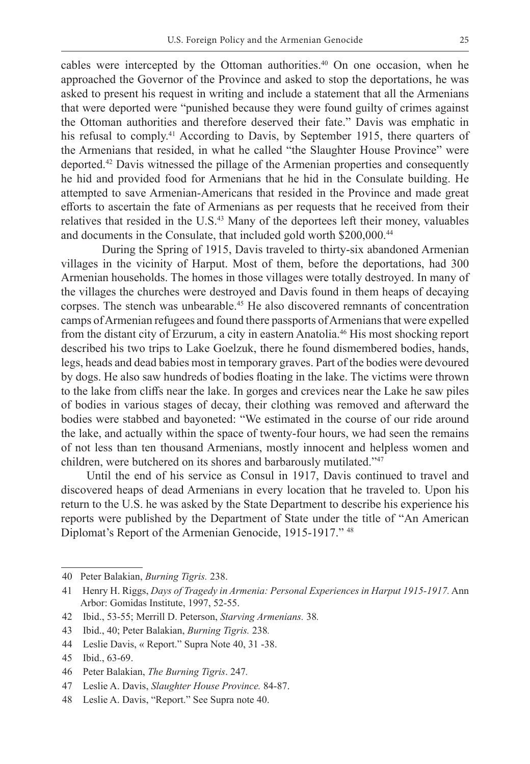cables were intercepted by the Ottoman authorities.<sup>40</sup> On one occasion, when he approached the Governor of the Province and asked to stop the deportations, he was asked to present his request in writing and include a statement that all the Armenians that were deported were "punished because they were found guilty of crimes against the Ottoman authorities and therefore deserved their fate." Davis was emphatic in his refusal to comply.<sup>41</sup> According to Davis, by September 1915, there quarters of the Armenians that resided, in what he called "the Slaughter House Province" were deported.42 Davis witnessed the pillage of the Armenian properties and consequently he hid and provided food for Armenians that he hid in the Consulate building. He attempted to save Armenian-Americans that resided in the Province and made great efforts to ascertain the fate of Armenians as per requests that he received from their relatives that resided in the U.S.<sup>43</sup> Many of the deportees left their money, valuables and documents in the Consulate, that included gold worth \$200,000.<sup>44</sup>

During the Spring of 1915, Davis traveled to thirty-six abandoned Armenian villages in the vicinity of Harput. Most of them, before the deportations, had 300 Armenian households. The homes in those villages were totally destroyed. In many of the villages the churches were destroyed and Davis found in them heaps of decaying corpses. The stench was unbearable.45 He also discovered remnants of concentration camps of Armenian refugees and found there passports of Armenians that were expelled from the distant city of Erzurum, a city in eastern Anatolia.46 His most shocking report described his two trips to Lake Goelzuk, there he found dismembered bodies, hands, legs, heads and dead babies most in temporary graves. Part of the bodies were devoured by dogs. He also saw hundreds of bodies floating in the lake. The victims were thrown to the lake from cliffs near the lake. In gorges and crevices near the Lake he saw piles of bodies in various stages of decay, their clothing was removed and afterward the bodies were stabbed and bayoneted: "We estimated in the course of our ride around the lake, and actually within the space of twenty-four hours, we had seen the remains of not less than ten thousand Armenians, mostly innocent and helpless women and children, were butchered on its shores and barbarously mutilated."47

Until the end of his service as Consul in 1917, Davis continued to travel and discovered heaps of dead Armenians in every location that he traveled to. Upon his return to the U.S. he was asked by the State Department to describe his experience his reports were published by the Department of State under the title of "An American Diplomat's Report of the Armenian Genocide, 1915-1917." 48

<sup>40</sup> Peter Balakian, *Burning Tigris.* 238.

<sup>41</sup> Henry H. Riggs, *Days of Tragedy in Armenia: Personal Experiences in Harput 1915-1917.* Ann Arbor: Gomidas Institute, 1997, 52-55.

<sup>42</sup> Ibid., 53-55; Merrill D. Peterson, *Starving Armenians.* 38*.*

<sup>43</sup> Ibid., 40; Peter Balakian, *Burning Tigris.* 238*.*

<sup>44</sup> Leslie Davis, « Report." Supra Note 40, 31 -38.

<sup>45</sup> Ibid., 63-69.

<sup>46</sup> Peter Balakian, *The Burning Tigris*. 247*.* 

<sup>47</sup> Leslie A. Davis, *Slaughter House Province.* 84-87.

<sup>48</sup> Leslie A. Davis, "Report." See Supra note 40.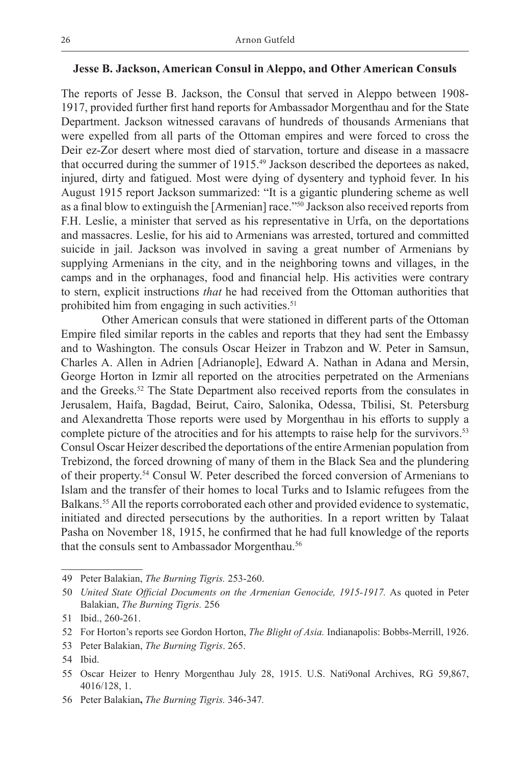## **Jesse B. Jackson, American Consul in Aleppo, and Other American Consuls**

The reports of Jesse B. Jackson, the Consul that served in Aleppo between 1908- 1917, provided further first hand reports for Ambassador Morgenthau and for the State Department. Jackson witnessed caravans of hundreds of thousands Armenians that were expelled from all parts of the Ottoman empires and were forced to cross the Deir ez-Zor desert where most died of starvation, torture and disease in a massacre that occurred during the summer of 1915.49 Jackson described the deportees as naked, injured, dirty and fatigued. Most were dying of dysentery and typhoid fever. In his August 1915 report Jackson summarized: "It is a gigantic plundering scheme as well as a final blow to extinguish the [Armenian] race."50 Jackson also received reports from F.H. Leslie, a minister that served as his representative in Urfa, on the deportations and massacres. Leslie, for his aid to Armenians was arrested, tortured and committed suicide in jail. Jackson was involved in saving a great number of Armenians by supplying Armenians in the city, and in the neighboring towns and villages, in the camps and in the orphanages, food and financial help. His activities were contrary to stern, explicit instructions *that* he had received from the Ottoman authorities that prohibited him from engaging in such activities.<sup>51</sup>

Other American consuls that were stationed in different parts of the Ottoman Empire filed similar reports in the cables and reports that they had sent the Embassy and to Washington. The consuls Oscar Heizer in Trabzon and W. Peter in Samsun, Charles A. Allen in Adrien [Adrianople], Edward A. Nathan in Adana and Mersin, George Horton in Izmir all reported on the atrocities perpetrated on the Armenians and the Greeks.52 The State Department also received reports from the consulates in Jerusalem, Haifa, Bagdad, Beirut, Cairo, Salonika, Odessa, Tbilisi, St. Petersburg and Alexandretta Those reports were used by Morgenthau in his efforts to supply a complete picture of the atrocities and for his attempts to raise help for the survivors.<sup>53</sup> Consul Oscar Heizer described the deportations of the entire Armenian population from Trebizond, the forced drowning of many of them in the Black Sea and the plundering of their property.54 Consul W. Peter described the forced conversion of Armenians to Islam and the transfer of their homes to local Turks and to Islamic refugees from the Balkans.55 All the reports corroborated each other and provided evidence to systematic, initiated and directed persecutions by the authorities. In a report written by Talaat Pasha on November 18, 1915, he confirmed that he had full knowledge of the reports that the consuls sent to Ambassador Morgenthau.<sup>56</sup>

<sup>49</sup> Peter Balakian, *The Burning Tigris.* 253-260.

<sup>50</sup> *United State Official Documents on the Armenian Genocide, 1915-1917.* As quoted in Peter Balakian, *The Burning Tigris.* 256

<sup>51</sup> Ibid., 260-261.

<sup>52</sup> For Horton's reports see Gordon Horton, *The Blight of Asia.* Indianapolis: Bobbs-Merrill, 1926.

<sup>53</sup> Peter Balakian, *The Burning Tigris*. 265.

<sup>54</sup> Ibid.

<sup>55</sup> Oscar Heizer to Henry Morgenthau July 28, 1915. U.S. Nati9onal Archives, RG 59,867, 4016/128, 1.

<sup>56</sup> Peter Balakian**,** *The Burning Tigris.* 346-347*.*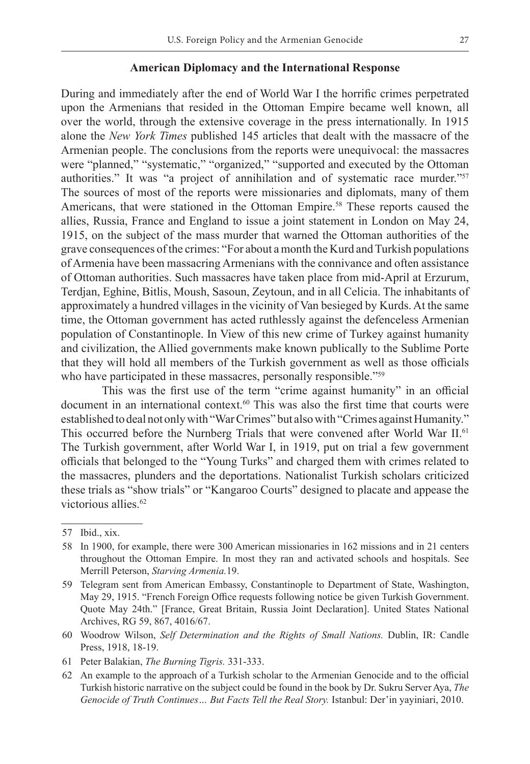#### **American Diplomacy and the International Response**

During and immediately after the end of World War I the horrific crimes perpetrated upon the Armenians that resided in the Ottoman Empire became well known, all over the world, through the extensive coverage in the press internationally. In 1915 alone the *New York Times* published 145 articles that dealt with the massacre of the Armenian people. The conclusions from the reports were unequivocal: the massacres were "planned," "systematic," "organized," "supported and executed by the Ottoman authorities." It was "a project of annihilation and of systematic race murder."57 The sources of most of the reports were missionaries and diplomats, many of them Americans, that were stationed in the Ottoman Empire.58 These reports caused the allies, Russia, France and England to issue a joint statement in London on May 24, 1915, on the subject of the mass murder that warned the Ottoman authorities of the grave consequences of the crimes: "For about a month the Kurd and Turkish populations of Armenia have been massacring Armenians with the connivance and often assistance of Ottoman authorities. Such massacres have taken place from mid-April at Erzurum, Terdjan, Eghine, Bitlis, Moush, Sasoun, Zeytoun, and in all Celicia. The inhabitants of approximately a hundred villages in the vicinity of Van besieged by Kurds. At the same time, the Ottoman government has acted ruthlessly against the defenceless Armenian population of Constantinople. In View of this new crime of Turkey against humanity and civilization, the Allied governments make known publically to the Sublime Porte that they will hold all members of the Turkish government as well as those officials who have participated in these massacres, personally responsible."<sup>59</sup>

This was the first use of the term "crime against humanity" in an official document in an international context.<sup>60</sup> This was also the first time that courts were established to deal not only with "War Crimes" but also with "Crimes against Humanity." This occurred before the Nurnberg Trials that were convened after World War II.<sup>61</sup> The Turkish government, after World War I, in 1919, put on trial a few government officials that belonged to the "Young Turks" and charged them with crimes related to the massacres, plunders and the deportations. Nationalist Turkish scholars criticized these trials as "show trials" or "Kangaroo Courts" designed to placate and appease the victorious allies.<sup>62</sup>

<sup>57</sup> Ibid., xix.

<sup>58</sup> In 1900, for example, there were 300 American missionaries in 162 missions and in 21 centers throughout the Ottoman Empire. In most they ran and activated schools and hospitals. See Merrill Peterson, *Starving Armenia.*19.

<sup>59</sup> Telegram sent from American Embassy, Constantinople to Department of State, Washington, May 29, 1915. "French Foreign Office requests following notice be given Turkish Government. Quote May 24th." [France, Great Britain, Russia Joint Declaration]. United States National Archives, RG 59, 867, 4016/67.

<sup>60</sup> Woodrow Wilson, *Self Determination and the Rights of Small Nations.* Dublin, IR: Candle Press, 1918, 18-19.

<sup>61</sup> Peter Balakian, *The Burning Tigris.* 331-333.

<sup>62</sup> An example to the approach of a Turkish scholar to the Armenian Genocide and to the official Turkish historic narrative on the subject could be found in the book by Dr. Sukru Server Aya, *The Genocide of Truth Continues… But Facts Tell the Real Story.* Istanbul: Der'in yayiniari, 2010.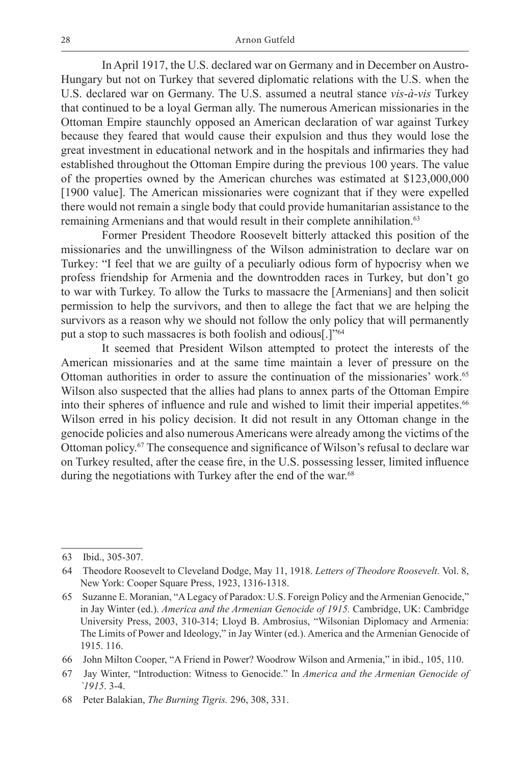In April 1917, the U.S. declared war on Germany and in December on Austro-Hungary but not on Turkey that severed diplomatic relations with the U.S. when the U.S. declared war on Germany. The U.S. assumed a neutral stance *vis-à-vis* Turkey that continued to be a loyal German ally. The numerous American missionaries in the Ottoman Empire staunchly opposed an American declaration of war against Turkey because they feared that would cause their expulsion and thus they would lose the great investment in educational network and in the hospitals and infirmaries they had established throughout the Ottoman Empire during the previous 100 years. The value of the properties owned by the American churches was estimated at \$123,000,000 [1900 value]. The American missionaries were cognizant that if they were expelled there would not remain a single body that could provide humanitarian assistance to the remaining Armenians and that would result in their complete annihilation.<sup>63</sup>

Former President Theodore Roosevelt bitterly attacked this position of the missionaries and the unwillingness of the Wilson administration to declare war on Turkey: "I feel that we are guilty of a peculiarly odious form of hypocrisy when we profess friendship for Armenia and the downtrodden races in Turkey, but don't go to war with Turkey. To allow the Turks to massacre the [Armenians] and then solicit permission to help the survivors, and then to allege the fact that we are helping the survivors as a reason why we should not follow the only policy that will permanently put a stop to such massacres is both foolish and odious[.]"64

It seemed that President Wilson attempted to protect the interests of the American missionaries and at the same time maintain a lever of pressure on the Ottoman authorities in order to assure the continuation of the missionaries' work.65 Wilson also suspected that the allies had plans to annex parts of the Ottoman Empire into their spheres of influence and rule and wished to limit their imperial appetites.<sup>66</sup> Wilson erred in his policy decision. It did not result in any Ottoman change in the genocide policies and also numerous Americans were already among the victims of the Ottoman policy.67 The consequence and significance of Wilson's refusal to declare war on Turkey resulted, after the cease fire, in the U.S. possessing lesser, limited influence during the negotiations with Turkey after the end of the war.<sup>68</sup>

<sup>63</sup> Ibid., 305-307.

<sup>64</sup> Theodore Roosevelt to Cleveland Dodge, May 11, 1918. *Letters of Theodore Roosevelt.* Vol. 8, New York: Cooper Square Press, 1923, 1316-1318.

<sup>65</sup> Suzanne E. Moranian, "A Legacy of Paradox: U.S. Foreign Policy and the Armenian Genocide," in Jay Winter (ed.). *America and the Armenian Genocide of 1915.* Cambridge, UK: Cambridge University Press, 2003, 310-314; Lloyd B. Ambrosius, "Wilsonian Diplomacy and Armenia: The Limits of Power and Ideology," in Jay Winter (ed.). America and the Armenian Genocide of 1915. 116.

<sup>66</sup> John Milton Cooper, "A Friend in Power? Woodrow Wilson and Armenia," in ibid., 105, 110.

<sup>67</sup> Jay Winter, "Introduction: Witness to Genocide." In *America and the Armenian Genocide of `1915*. 3-4.

<sup>68</sup> Peter Balakian, *The Burning Tigris.* 296, 308, 331.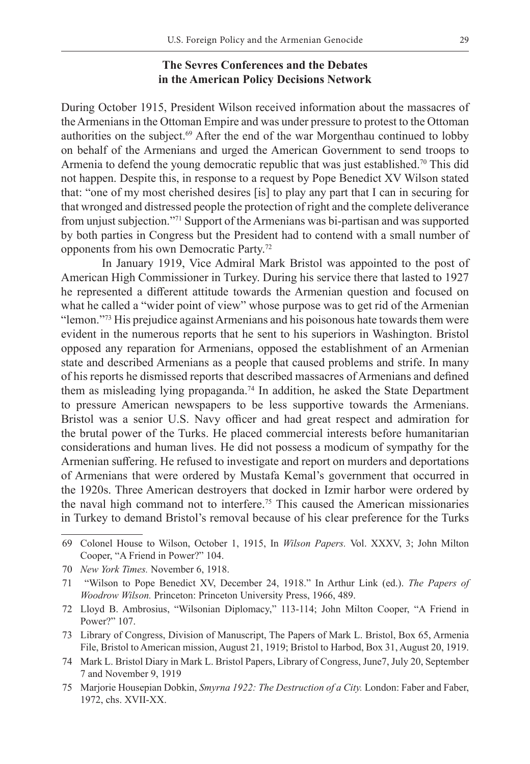# **The Sevres Conferences and the Debates in the American Policy Decisions Network**

During October 1915, President Wilson received information about the massacres of the Armenians in the Ottoman Empire and was under pressure to protest to the Ottoman authorities on the subject.69 After the end of the war Morgenthau continued to lobby on behalf of the Armenians and urged the American Government to send troops to Armenia to defend the young democratic republic that was just established.<sup>70</sup> This did not happen. Despite this, in response to a request by Pope Benedict XV Wilson stated that: "one of my most cherished desires [is] to play any part that I can in securing for that wronged and distressed people the protection of right and the complete deliverance from unjust subjection."71 Support of the Armenians was bi-partisan and was supported by both parties in Congress but the President had to contend with a small number of opponents from his own Democratic Party.72

In January 1919, Vice Admiral Mark Bristol was appointed to the post of American High Commissioner in Turkey. During his service there that lasted to 1927 he represented a different attitude towards the Armenian question and focused on what he called a "wider point of view" whose purpose was to get rid of the Armenian "lemon."73 His prejudice against Armenians and his poisonous hate towards them were evident in the numerous reports that he sent to his superiors in Washington. Bristol opposed any reparation for Armenians, opposed the establishment of an Armenian state and described Armenians as a people that caused problems and strife. In many of his reports he dismissed reports that described massacres of Armenians and defined them as misleading lying propaganda.<sup>74</sup> In addition, he asked the State Department to pressure American newspapers to be less supportive towards the Armenians. Bristol was a senior U.S. Navy officer and had great respect and admiration for the brutal power of the Turks. He placed commercial interests before humanitarian considerations and human lives. He did not possess a modicum of sympathy for the Armenian suffering. He refused to investigate and report on murders and deportations of Armenians that were ordered by Mustafa Kemal's government that occurred in the 1920s. Three American destroyers that docked in Izmir harbor were ordered by the naval high command not to interfere.75 This caused the American missionaries in Turkey to demand Bristol's removal because of his clear preference for the Turks

<sup>69</sup> Colonel House to Wilson, October 1, 1915, In *Wilson Papers.* Vol. XXXV, 3; John Milton Cooper, "A Friend in Power?" 104.

<sup>70</sup> *New York Times.* November 6, 1918.

<sup>71 &</sup>quot;Wilson to Pope Benedict XV, December 24, 1918." In Arthur Link (ed.). *The Papers of Woodrow Wilson.* Princeton: Princeton University Press, 1966, 489.

<sup>72</sup> Lloyd B. Ambrosius, "Wilsonian Diplomacy," 113-114; John Milton Cooper, "A Friend in Power?" 107.

<sup>73</sup> Library of Congress, Division of Manuscript, The Papers of Mark L. Bristol, Box 65, Armenia File, Bristol to American mission, August 21, 1919; Bristol to Harbod, Box 31, August 20, 1919.

<sup>74</sup> Mark L. Bristol Diary in Mark L. Bristol Papers, Library of Congress, June7, July 20, September 7 and November 9, 1919

<sup>75</sup> Marjorie Housepian Dobkin, *Smyrna 1922: The Destruction of a City.* London: Faber and Faber, 1972, chs. XVII-XX.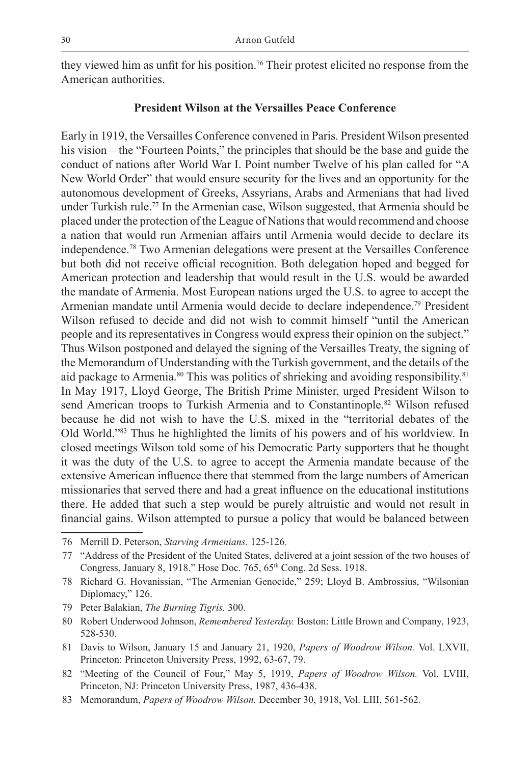they viewed him as unfit for his position.<sup>76</sup> Their protest elicited no response from the American authorities.

# **President Wilson at the Versailles Peace Conference**

Early in 1919, the Versailles Conference convened in Paris. President Wilson presented his vision—the "Fourteen Points," the principles that should be the base and guide the conduct of nations after World War I. Point number Twelve of his plan called for "A New World Order" that would ensure security for the lives and an opportunity for the autonomous development of Greeks, Assyrians, Arabs and Armenians that had lived under Turkish rule.<sup>77</sup> In the Armenian case, Wilson suggested, that Armenia should be placed under the protection of the League of Nations that would recommend and choose a nation that would run Armenian affairs until Armenia would decide to declare its independence.78 Two Armenian delegations were present at the Versailles Conference but both did not receive official recognition. Both delegation hoped and begged for American protection and leadership that would result in the U.S. would be awarded the mandate of Armenia. Most European nations urged the U.S. to agree to accept the Armenian mandate until Armenia would decide to declare independence.<sup>79</sup> President Wilson refused to decide and did not wish to commit himself "until the American people and its representatives in Congress would express their opinion on the subject." Thus Wilson postponed and delayed the signing of the Versailles Treaty, the signing of the Memorandum of Understanding with the Turkish government, and the details of the aid package to Armenia.<sup>80</sup> This was politics of shrieking and avoiding responsibility.<sup>81</sup> In May 1917, Lloyd George, The British Prime Minister, urged President Wilson to send American troops to Turkish Armenia and to Constantinople.<sup>82</sup> Wilson refused because he did not wish to have the U.S. mixed in the "territorial debates of the Old World."83 Thus he highlighted the limits of his powers and of his worldview. In closed meetings Wilson told some of his Democratic Party supporters that he thought it was the duty of the U.S. to agree to accept the Armenia mandate because of the extensive American influence there that stemmed from the large numbers of American missionaries that served there and had a great influence on the educational institutions there. He added that such a step would be purely altruistic and would not result in financial gains. Wilson attempted to pursue a policy that would be balanced between

<sup>76</sup> Merrill D. Peterson, *Starving Armenians.* 125-126*.*

<sup>77</sup> "Address of the President of the United States, delivered at a joint session of the two houses of Congress, January 8, 1918." Hose Doc. 765, 65th Cong. 2d Sess. 1918.

<sup>78</sup> Richard G. Hovanissian, "The Armenian Genocide," 259; Lloyd B. Ambrossius, "Wilsonian Diplomacy," 126.

<sup>79</sup> Peter Balakian, *The Burning Tigris.* 300.

<sup>80</sup> Robert Underwood Johnson, *Remembered Yesterday.* Boston: Little Brown and Company, 1923, 528-530.

<sup>81</sup> Davis to Wilson, January 15 and January 21, 1920, *Papers of Woodrow Wilson.* Vol. LXVII, Princeton: Princeton University Press, 1992, 63-67, 79.

<sup>82</sup> "Meeting of the Council of Four," May 5, 1919, *Papers of Woodrow Wilson.* Vol. LVIII, Princeton, NJ: Princeton University Press, 1987, 436-438.

<sup>83</sup> Memorandum, *Papers of Woodrow Wilson.* December 30, 1918, Vol. LIII, 561-562.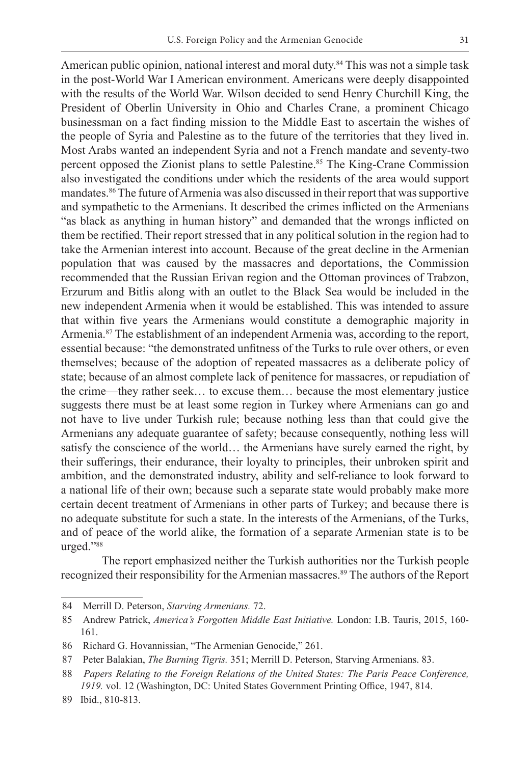American public opinion, national interest and moral duty.<sup>84</sup> This was not a simple task in the post-World War I American environment. Americans were deeply disappointed with the results of the World War. Wilson decided to send Henry Churchill King, the President of Oberlin University in Ohio and Charles Crane, a prominent Chicago businessman on a fact finding mission to the Middle East to ascertain the wishes of the people of Syria and Palestine as to the future of the territories that they lived in. Most Arabs wanted an independent Syria and not a French mandate and seventy-two percent opposed the Zionist plans to settle Palestine.85 The King-Crane Commission also investigated the conditions under which the residents of the area would support mandates.<sup>86</sup> The future of Armenia was also discussed in their report that was supportive and sympathetic to the Armenians. It described the crimes inflicted on the Armenians "as black as anything in human history" and demanded that the wrongs inflicted on them be rectified. Their report stressed that in any political solution in the region had to take the Armenian interest into account. Because of the great decline in the Armenian population that was caused by the massacres and deportations, the Commission recommended that the Russian Erivan region and the Ottoman provinces of Trabzon, Erzurum and Bitlis along with an outlet to the Black Sea would be included in the new independent Armenia when it would be established. This was intended to assure that within five years the Armenians would constitute a demographic majority in Armenia.87 The establishment of an independent Armenia was, according to the report, essential because: "the demonstrated unfitness of the Turks to rule over others, or even themselves; because of the adoption of repeated massacres as a deliberate policy of state; because of an almost complete lack of penitence for massacres, or repudiation of the crime—they rather seek… to excuse them… because the most elementary justice suggests there must be at least some region in Turkey where Armenians can go and not have to live under Turkish rule; because nothing less than that could give the Armenians any adequate guarantee of safety; because consequently, nothing less will satisfy the conscience of the world… the Armenians have surely earned the right, by their sufferings, their endurance, their loyalty to principles, their unbroken spirit and ambition, and the demonstrated industry, ability and self-reliance to look forward to a national life of their own; because such a separate state would probably make more certain decent treatment of Armenians in other parts of Turkey; and because there is no adequate substitute for such a state. In the interests of the Armenians, of the Turks, and of peace of the world alike, the formation of a separate Armenian state is to be urged."88

The report emphasized neither the Turkish authorities nor the Turkish people recognized their responsibility for the Armenian massacres.<sup>89</sup> The authors of the Report

<sup>84</sup> Merrill D. Peterson, *Starving Armenians.* 72.

<sup>85</sup> Andrew Patrick, *America's Forgotten Middle East Initiative.* London: I.B. Tauris, 2015, 160- 161.

<sup>86</sup> Richard G. Hovannissian, "The Armenian Genocide," 261.

<sup>87</sup> Peter Balakian, *The Burning Tigris.* 351; Merrill D. Peterson, Starving Armenians. 83.

<sup>88</sup> *Papers Relating to the Foreign Relations of the United States: The Paris Peace Conference, 1919.* vol. 12 (Washington, DC: United States Government Printing Office, 1947, 814.

<sup>89</sup> Ibid., 810-813.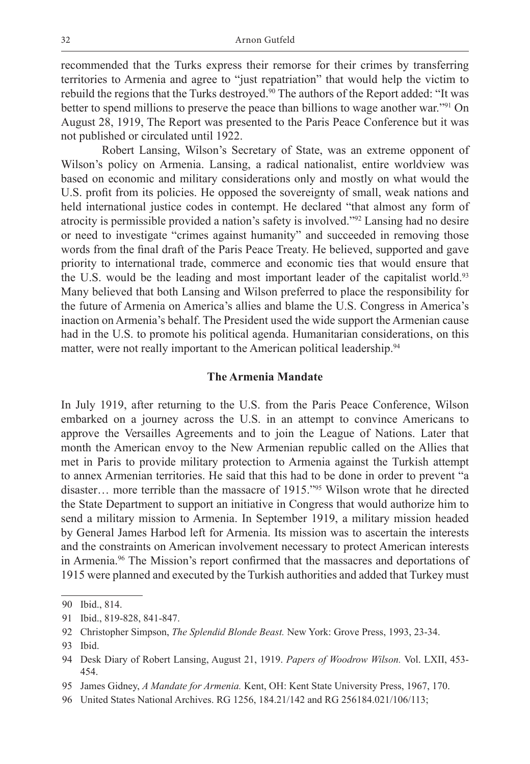recommended that the Turks express their remorse for their crimes by transferring territories to Armenia and agree to "just repatriation" that would help the victim to rebuild the regions that the Turks destroyed.<sup>90</sup> The authors of the Report added: "It was better to spend millions to preserve the peace than billions to wage another war."<sup>91</sup> On August 28, 1919, The Report was presented to the Paris Peace Conference but it was not published or circulated until 1922.

Robert Lansing, Wilson's Secretary of State, was an extreme opponent of Wilson's policy on Armenia. Lansing, a radical nationalist, entire worldview was based on economic and military considerations only and mostly on what would the U.S. profit from its policies. He opposed the sovereignty of small, weak nations and held international justice codes in contempt. He declared "that almost any form of atrocity is permissible provided a nation's safety is involved."92 Lansing had no desire or need to investigate "crimes against humanity" and succeeded in removing those words from the final draft of the Paris Peace Treaty. He believed, supported and gave priority to international trade, commerce and economic ties that would ensure that the U.S. would be the leading and most important leader of the capitalist world.<sup>93</sup> Many believed that both Lansing and Wilson preferred to place the responsibility for the future of Armenia on America's allies and blame the U.S. Congress in America's inaction on Armenia's behalf. The President used the wide support the Armenian cause had in the U.S. to promote his political agenda. Humanitarian considerations, on this matter, were not really important to the American political leadership.<sup>94</sup>

## **The Armenia Mandate**

In July 1919, after returning to the U.S. from the Paris Peace Conference, Wilson embarked on a journey across the U.S. in an attempt to convince Americans to approve the Versailles Agreements and to join the League of Nations. Later that month the American envoy to the New Armenian republic called on the Allies that met in Paris to provide military protection to Armenia against the Turkish attempt to annex Armenian territories. He said that this had to be done in order to prevent "a disaster… more terrible than the massacre of 1915."95 Wilson wrote that he directed the State Department to support an initiative in Congress that would authorize him to send a military mission to Armenia. In September 1919, a military mission headed by General James Harbod left for Armenia. Its mission was to ascertain the interests and the constraints on American involvement necessary to protect American interests in Armenia.96 The Mission's report confirmed that the massacres and deportations of 1915 were planned and executed by the Turkish authorities and added that Turkey must

<sup>90</sup> Ibid., 814.

<sup>91</sup> Ibid., 819-828, 841-847.

<sup>92</sup> Christopher Simpson, *The Splendid Blonde Beast.* New York: Grove Press, 1993, 23-34.

<sup>93</sup> Ibid.

<sup>94</sup> Desk Diary of Robert Lansing, August 21, 1919. *Papers of Woodrow Wilson.* Vol. LXII, 453- 454.

<sup>95</sup> James Gidney, *A Mandate for Armenia.* Kent, OH: Kent State University Press, 1967, 170.

<sup>96</sup> United States National Archives. RG 1256, 184.21/142 and RG 256184.021/106/113;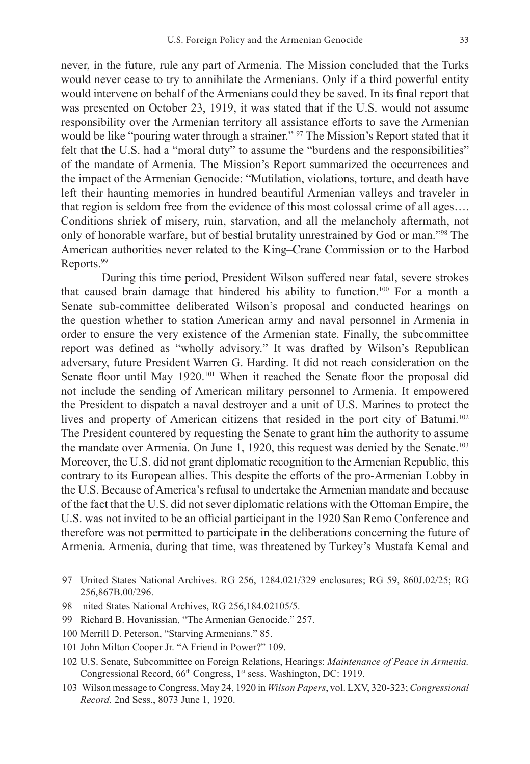never, in the future, rule any part of Armenia. The Mission concluded that the Turks would never cease to try to annihilate the Armenians. Only if a third powerful entity would intervene on behalf of the Armenians could they be saved. In its final report that was presented on October 23, 1919, it was stated that if the U.S. would not assume responsibility over the Armenian territory all assistance efforts to save the Armenian would be like "pouring water through a strainer." 97 The Mission's Report stated that it felt that the U.S. had a "moral duty" to assume the "burdens and the responsibilities" of the mandate of Armenia. The Mission's Report summarized the occurrences and the impact of the Armenian Genocide: "Mutilation, violations, torture, and death have left their haunting memories in hundred beautiful Armenian valleys and traveler in that region is seldom free from the evidence of this most colossal crime of all ages…. Conditions shriek of misery, ruin, starvation, and all the melancholy aftermath, not only of honorable warfare, but of bestial brutality unrestrained by God or man."98 The American authorities never related to the King–Crane Commission or to the Harbod Reports.99

During this time period, President Wilson suffered near fatal, severe strokes that caused brain damage that hindered his ability to function.100 For a month a Senate sub-committee deliberated Wilson's proposal and conducted hearings on the question whether to station American army and naval personnel in Armenia in order to ensure the very existence of the Armenian state. Finally, the subcommittee report was defined as "wholly advisory." It was drafted by Wilson's Republican adversary, future President Warren G. Harding. It did not reach consideration on the Senate floor until May 1920.<sup>101</sup> When it reached the Senate floor the proposal did not include the sending of American military personnel to Armenia. It empowered the President to dispatch a naval destroyer and a unit of U.S. Marines to protect the lives and property of American citizens that resided in the port city of Batumi.102 The President countered by requesting the Senate to grant him the authority to assume the mandate over Armenia. On June 1, 1920, this request was denied by the Senate.103 Moreover, the U.S. did not grant diplomatic recognition to the Armenian Republic, this contrary to its European allies. This despite the efforts of the pro-Armenian Lobby in the U.S. Because of America's refusal to undertake the Armenian mandate and because of the fact that the U.S. did not sever diplomatic relations with the Ottoman Empire, the U.S. was not invited to be an official participant in the 1920 San Remo Conference and therefore was not permitted to participate in the deliberations concerning the future of Armenia. Armenia, during that time, was threatened by Turkey's Mustafa Kemal and

<sup>97</sup> United States National Archives. RG 256, 1284.021/329 enclosures; RG 59, 860J.02/25; RG 256,867B.00/296.

<sup>98</sup> nited States National Archives, RG 256,184.02105/5.

<sup>99</sup> Richard B. Hovanissian, "The Armenian Genocide." 257.

<sup>100</sup> Merrill D. Peterson, "Starving Armenians." 85.

<sup>101</sup> John Milton Cooper Jr. "A Friend in Power?" 109.

<sup>102</sup> U.S. Senate, Subcommittee on Foreign Relations, Hearings: *Maintenance of Peace in Armenia.*  Congressional Record, 66<sup>th</sup> Congress, 1<sup>st</sup> sess. Washington, DC: 1919.

<sup>103</sup> Wilson message to Congress, May 24, 1920 in *Wilson Papers*, vol. LXV, 320-323; *Congressional Record.* 2nd Sess., 8073 June 1, 1920.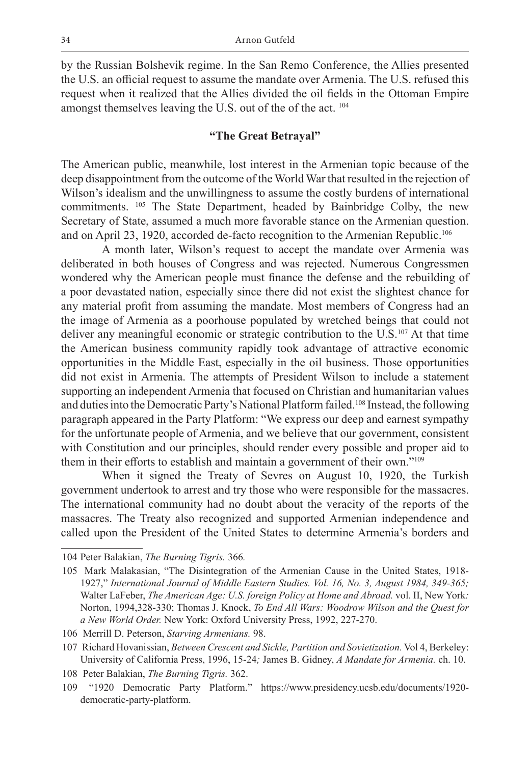by the Russian Bolshevik regime. In the San Remo Conference, the Allies presented the U.S. an official request to assume the mandate over Armenia. The U.S. refused this request when it realized that the Allies divided the oil fields in the Ottoman Empire amongst themselves leaving the U.S. out of the of the act. 104

## **"The Great Betrayal"**

The American public, meanwhile, lost interest in the Armenian topic because of the deep disappointment from the outcome of the World War that resulted in the rejection of Wilson's idealism and the unwillingness to assume the costly burdens of international commitments. 105 The State Department, headed by Bainbridge Colby, the new Secretary of State, assumed a much more favorable stance on the Armenian question. and on April 23, 1920, accorded de-facto recognition to the Armenian Republic.<sup>106</sup>

A month later, Wilson's request to accept the mandate over Armenia was deliberated in both houses of Congress and was rejected. Numerous Congressmen wondered why the American people must finance the defense and the rebuilding of a poor devastated nation, especially since there did not exist the slightest chance for any material profit from assuming the mandate. Most members of Congress had an the image of Armenia as a poorhouse populated by wretched beings that could not deliver any meaningful economic or strategic contribution to the U.S.107 At that time the American business community rapidly took advantage of attractive economic opportunities in the Middle East, especially in the oil business. Those opportunities did not exist in Armenia. The attempts of President Wilson to include a statement supporting an independent Armenia that focused on Christian and humanitarian values and duties into the Democratic Party's National Platform failed.108 Instead, the following paragraph appeared in the Party Platform: "We express our deep and earnest sympathy for the unfortunate people of Armenia, and we believe that our government, consistent with Constitution and our principles, should render every possible and proper aid to them in their efforts to establish and maintain a government of their own."<sup>109</sup>

When it signed the Treaty of Sevres on August 10, 1920, the Turkish government undertook to arrest and try those who were responsible for the massacres. The international community had no doubt about the veracity of the reports of the massacres. The Treaty also recognized and supported Armenian independence and called upon the President of the United States to determine Armenia's borders and

<sup>104</sup> Peter Balakian, *The Burning Tigris.* 366*.*

<sup>105</sup> Mark Malakasian, "The Disintegration of the Armenian Cause in the United States, 1918- 1927," *International Journal of Middle Eastern Studies. Vol. 16, No. 3, August 1984, 349-365;* Walter LaFeber, *The American Age: U.S. foreign Policy at Home and Abroad.* vol. II, New York*:*  Norton, 1994,328-330; Thomas J. Knock, *To End All Wars: Woodrow Wilson and the Quest for a New World Order.* New York: Oxford University Press, 1992, 227-270.

<sup>106</sup> Merrill D. Peterson, *Starving Armenians.* 98.

<sup>107</sup> Richard Hovanissian, *Between Crescent and Sickle, Partition and Sovietization.* Vol 4, Berkeley: University of California Press, 1996, 15-24*;* James B. Gidney, *A Mandate for Armenia.* ch. 10.

<sup>108</sup> Peter Balakian, *The Burning Tigris.* 362.

<sup>109 &</sup>quot;1920 Democratic Party Platform." https://www.presidency.ucsb.edu/documents/1920 democratic-party-platform.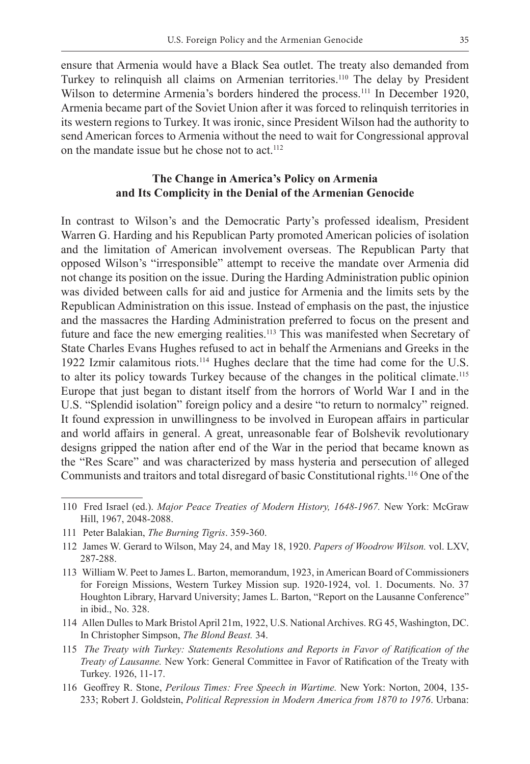ensure that Armenia would have a Black Sea outlet. The treaty also demanded from Turkey to relinquish all claims on Armenian territories.<sup>110</sup> The delay by President Wilson to determine Armenia's borders hindered the process.<sup>111</sup> In December 1920, Armenia became part of the Soviet Union after it was forced to relinquish territories in its western regions to Turkey. It was ironic, since President Wilson had the authority to send American forces to Armenia without the need to wait for Congressional approval on the mandate issue but he chose not to act.<sup>112</sup>

# **The Change in America's Policy on Armenia and Its Complicity in the Denial of the Armenian Genocide**

In contrast to Wilson's and the Democratic Party's professed idealism, President Warren G. Harding and his Republican Party promoted American policies of isolation and the limitation of American involvement overseas. The Republican Party that opposed Wilson's "irresponsible" attempt to receive the mandate over Armenia did not change its position on the issue. During the Harding Administration public opinion was divided between calls for aid and justice for Armenia and the limits sets by the Republican Administration on this issue. Instead of emphasis on the past, the injustice and the massacres the Harding Administration preferred to focus on the present and future and face the new emerging realities.<sup>113</sup> This was manifested when Secretary of State Charles Evans Hughes refused to act in behalf the Armenians and Greeks in the 1922 Izmir calamitous riots.<sup>114</sup> Hughes declare that the time had come for the U.S. to alter its policy towards Turkey because of the changes in the political climate.115 Europe that just began to distant itself from the horrors of World War I and in the U.S. "Splendid isolation" foreign policy and a desire "to return to normalcy" reigned. It found expression in unwillingness to be involved in European affairs in particular and world affairs in general. A great, unreasonable fear of Bolshevik revolutionary designs gripped the nation after end of the War in the period that became known as the "Res Scare" and was characterized by mass hysteria and persecution of alleged Communists and traitors and total disregard of basic Constitutional rights.116 One of the

- 114 Allen Dulles to Mark Bristol April 21m, 1922, U.S. National Archives. RG 45, Washington, DC. In Christopher Simpson, *The Blond Beast.* 34.
- 115 *The Treaty with Turkey: Statements Resolutions and Reports in Favor of Ratification of the Treaty of Lausanne.* New York: General Committee in Favor of Ratification of the Treaty with Turkey. 1926, 11-17.
- 116 Geoffrey R. Stone, *Perilous Times: Free Speech in Wartime.* New York: Norton, 2004, 135- 233; Robert J. Goldstein, *Political Repression in Modern America from 1870 to 1976*. Urbana:

<sup>110</sup> Fred Israel (ed.). *Major Peace Treaties of Modern History, 1648-1967.* New York: McGraw Hill, 1967, 2048-2088.

<sup>111</sup> Peter Balakian, *The Burning Tigris*. 359-360.

<sup>112</sup> James W. Gerard to Wilson, May 24, and May 18, 1920. *Papers of Woodrow Wilson.* vol. LXV, 287-288.

<sup>113</sup> William W. Peet to James L. Barton, memorandum, 1923, in American Board of Commissioners for Foreign Missions, Western Turkey Mission sup. 1920-1924, vol. 1. Documents. No. 37 Houghton Library, Harvard University; James L. Barton, "Report on the Lausanne Conference" in ibid., No. 328.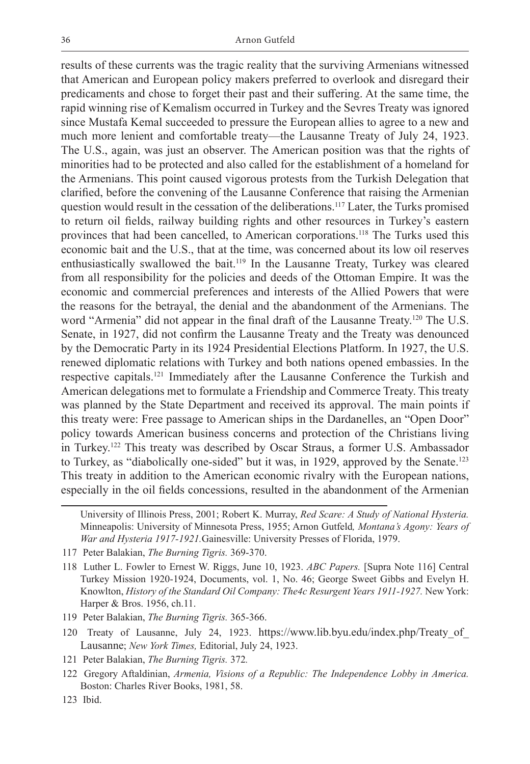results of these currents was the tragic reality that the surviving Armenians witnessed that American and European policy makers preferred to overlook and disregard their predicaments and chose to forget their past and their suffering. At the same time, the rapid winning rise of Kemalism occurred in Turkey and the Sevres Treaty was ignored since Mustafa Kemal succeeded to pressure the European allies to agree to a new and much more lenient and comfortable treaty—the Lausanne Treaty of July 24, 1923. The U.S., again, was just an observer. The American position was that the rights of minorities had to be protected and also called for the establishment of a homeland for the Armenians. This point caused vigorous protests from the Turkish Delegation that clarified, before the convening of the Lausanne Conference that raising the Armenian question would result in the cessation of the deliberations.117 Later, the Turks promised to return oil fields, railway building rights and other resources in Turkey's eastern provinces that had been cancelled, to American corporations.<sup>118</sup> The Turks used this economic bait and the U.S., that at the time, was concerned about its low oil reserves enthusiastically swallowed the bait.119 In the Lausanne Treaty, Turkey was cleared from all responsibility for the policies and deeds of the Ottoman Empire. It was the economic and commercial preferences and interests of the Allied Powers that were the reasons for the betrayal, the denial and the abandonment of the Armenians. The word "Armenia" did not appear in the final draft of the Lausanne Treaty.<sup>120</sup> The U.S. Senate, in 1927, did not confirm the Lausanne Treaty and the Treaty was denounced by the Democratic Party in its 1924 Presidential Elections Platform. In 1927, the U.S. renewed diplomatic relations with Turkey and both nations opened embassies. In the respective capitals.121 Immediately after the Lausanne Conference the Turkish and American delegations met to formulate a Friendship and Commerce Treaty. This treaty was planned by the State Department and received its approval. The main points if this treaty were: Free passage to American ships in the Dardanelles, an "Open Door" policy towards American business concerns and protection of the Christians living in Turkey.122 This treaty was described by Oscar Straus, a former U.S. Ambassador to Turkey, as "diabolically one-sided" but it was, in 1929, approved by the Senate.123 This treaty in addition to the American economic rivalry with the European nations, especially in the oil fields concessions, resulted in the abandonment of the Armenian

- 119 Peter Balakian, *The Burning Tigris.* 365-366.
- 120 Treaty of Lausanne, July 24, 1923. https://www.lib.byu.edu/index.php/Treaty\_of\_ Lausanne; *New York Times,* Editorial, July 24, 1923.
- 121 Peter Balakian, *The Burning Tigris.* 372*.*
- 122 Gregory Aftaldinian, *Armenia, Visions of a Republic: The Independence Lobby in America.*  Boston: Charles River Books, 1981, 58.
- 123 Ibid.

University of Illinois Press, 2001; Robert K. Murray, *Red Scare: A Study of National Hysteria.*  Minneapolis: University of Minnesota Press, 1955; Arnon Gutfeld*, Montana's Agony: Years of War and Hysteria 1917-1921.*Gainesville: University Presses of Florida, 1979.

<sup>117</sup> Peter Balakian, *The Burning Tigris.* 369-370.

<sup>118</sup> Luther L. Fowler to Ernest W. Riggs, June 10, 1923. *ABC Papers.* [Supra Note 116] Central Turkey Mission 1920-1924, Documents, vol. 1, No. 46; George Sweet Gibbs and Evelyn H. Knowlton, *History of the Standard Oil Company: The4c Resurgent Years 1911-1927.* New York: Harper & Bros. 1956, ch.11.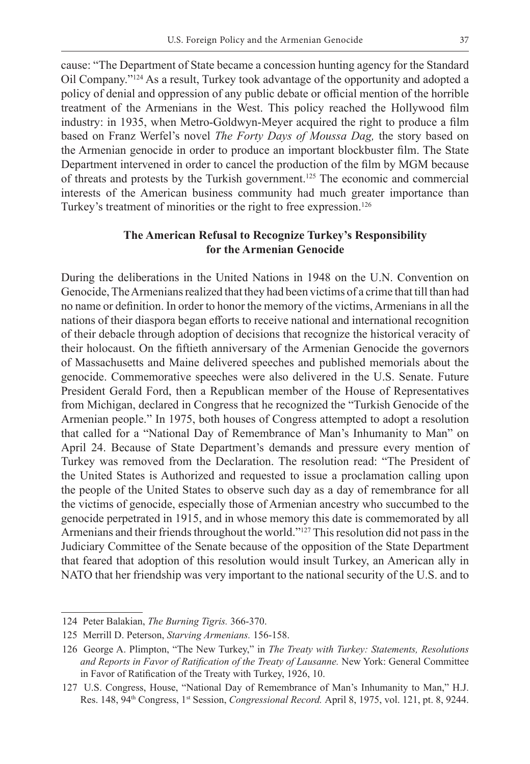cause: "The Department of State became a concession hunting agency for the Standard Oil Company."124 As a result, Turkey took advantage of the opportunity and adopted a policy of denial and oppression of any public debate or official mention of the horrible treatment of the Armenians in the West. This policy reached the Hollywood film industry: in 1935, when Metro-Goldwyn-Meyer acquired the right to produce a film based on Franz Werfel's novel *The Forty Days of Moussa Dag,* the story based on the Armenian genocide in order to produce an important blockbuster film. The State Department intervened in order to cancel the production of the film by MGM because of threats and protests by the Turkish government.<sup>125</sup> The economic and commercial interests of the American business community had much greater importance than Turkey's treatment of minorities or the right to free expression.<sup>126</sup>

# **The American Refusal to Recognize Turkey's Responsibility for the Armenian Genocide**

During the deliberations in the United Nations in 1948 on the U.N. Convention on Genocide, The Armenians realized that they had been victims of a crime that till than had no name or definition. In order to honor the memory of the victims, Armenians in all the nations of their diaspora began efforts to receive national and international recognition of their debacle through adoption of decisions that recognize the historical veracity of their holocaust. On the fiftieth anniversary of the Armenian Genocide the governors of Massachusetts and Maine delivered speeches and published memorials about the genocide. Commemorative speeches were also delivered in the U.S. Senate. Future President Gerald Ford, then a Republican member of the House of Representatives from Michigan, declared in Congress that he recognized the "Turkish Genocide of the Armenian people." In 1975, both houses of Congress attempted to adopt a resolution that called for a "National Day of Remembrance of Man's Inhumanity to Man" on April 24. Because of State Department's demands and pressure every mention of Turkey was removed from the Declaration. The resolution read: "The President of the United States is Authorized and requested to issue a proclamation calling upon the people of the United States to observe such day as a day of remembrance for all the victims of genocide, especially those of Armenian ancestry who succumbed to the genocide perpetrated in 1915, and in whose memory this date is commemorated by all Armenians and their friends throughout the world."127 This resolution did not pass in the Judiciary Committee of the Senate because of the opposition of the State Department that feared that adoption of this resolution would insult Turkey, an American ally in NATO that her friendship was very important to the national security of the U.S. and to

<sup>124</sup> Peter Balakian, *The Burning Tigris.* 366-370.

<sup>125</sup> Merrill D. Peterson, *Starving Armenians.* 156-158.

<sup>126</sup> George A. Plimpton, "The New Turkey," in *The Treaty with Turkey: Statements, Resolutions and Reports in Favor of Ratification of the Treaty of Lausanne.* New York: General Committee in Favor of Ratification of the Treaty with Turkey, 1926, 10.

<sup>127</sup> U.S. Congress, House, "National Day of Remembrance of Man's Inhumanity to Man," H.J. Res. 148, 94th Congress, 1st Session, *Congressional Record.* April 8, 1975, vol. 121, pt. 8, 9244.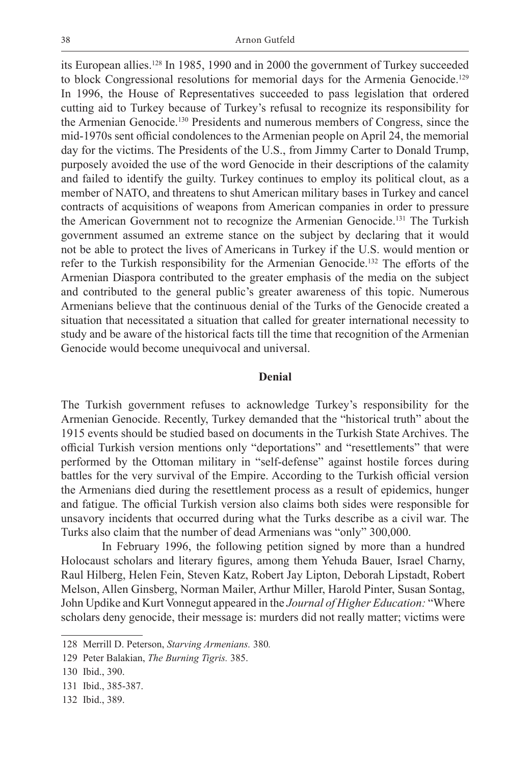its European allies.128 In 1985, 1990 and in 2000 the government of Turkey succeeded to block Congressional resolutions for memorial days for the Armenia Genocide.<sup>129</sup> In 1996, the House of Representatives succeeded to pass legislation that ordered cutting aid to Turkey because of Turkey's refusal to recognize its responsibility for the Armenian Genocide.130 Presidents and numerous members of Congress, since the mid-1970s sent official condolences to the Armenian people on April 24, the memorial day for the victims. The Presidents of the U.S., from Jimmy Carter to Donald Trump, purposely avoided the use of the word Genocide in their descriptions of the calamity and failed to identify the guilty. Turkey continues to employ its political clout, as a member of NATO, and threatens to shut American military bases in Turkey and cancel contracts of acquisitions of weapons from American companies in order to pressure the American Government not to recognize the Armenian Genocide.131 The Turkish government assumed an extreme stance on the subject by declaring that it would not be able to protect the lives of Americans in Turkey if the U.S. would mention or refer to the Turkish responsibility for the Armenian Genocide.132 The efforts of the Armenian Diaspora contributed to the greater emphasis of the media on the subject and contributed to the general public's greater awareness of this topic. Numerous Armenians believe that the continuous denial of the Turks of the Genocide created a situation that necessitated a situation that called for greater international necessity to study and be aware of the historical facts till the time that recognition of the Armenian Genocide would become unequivocal and universal.

## **Denial**

The Turkish government refuses to acknowledge Turkey's responsibility for the Armenian Genocide. Recently, Turkey demanded that the "historical truth" about the 1915 events should be studied based on documents in the Turkish State Archives. The official Turkish version mentions only "deportations" and "resettlements" that were performed by the Ottoman military in "self-defense" against hostile forces during battles for the very survival of the Empire. According to the Turkish official version the Armenians died during the resettlement process as a result of epidemics, hunger and fatigue. The official Turkish version also claims both sides were responsible for unsavory incidents that occurred during what the Turks describe as a civil war. The Turks also claim that the number of dead Armenians was "only" 300,000.

In February 1996, the following petition signed by more than a hundred Holocaust scholars and literary figures, among them Yehuda Bauer, Israel Charny, Raul Hilberg, Helen Fein, Steven Katz, Robert Jay Lipton, Deborah Lipstadt, Robert Melson, Allen Ginsberg, Norman Mailer, Arthur Miller, Harold Pinter, Susan Sontag, John Updike and Kurt Vonnegut appeared in the *Journal of Higher Education:* "Where scholars deny genocide, their message is: murders did not really matter; victims were

<sup>128</sup> Merrill D. Peterson, *Starving Armenians.* 380*.*

<sup>129</sup> Peter Balakian, *The Burning Tigris.* 385.

<sup>130</sup> Ibid., 390.

<sup>131</sup> Ibid., 385-387.

<sup>132</sup> Ibid., 389.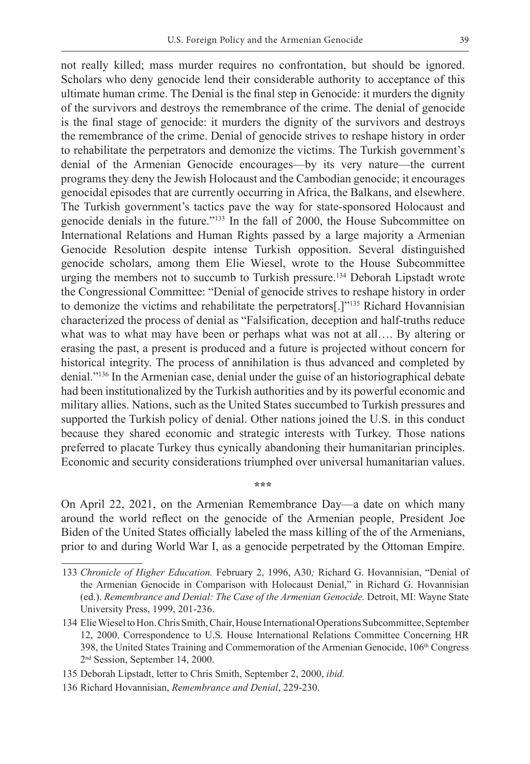not really killed; mass murder requires no confrontation, but should be ignored. Scholars who deny genocide lend their considerable authority to acceptance of this ultimate human crime. The Denial is the final step in Genocide: it murders the dignity of the survivors and destroys the remembrance of the crime. The denial of genocide is the final stage of genocide: it murders the dignity of the survivors and destroys the remembrance of the crime. Denial of genocide strives to reshape history in order to rehabilitate the perpetrators and demonize the victims. The Turkish government's denial of the Armenian Genocide encourages—by its very nature—the current programs they deny the Jewish Holocaust and the Cambodian genocide; it encourages genocidal episodes that are currently occurring in Africa, the Balkans, and elsewhere. The Turkish government's tactics pave the way for state-sponsored Holocaust and genocide denials in the future."133 In the fall of 2000, the House Subcommittee on International Relations and Human Rights passed by a large majority a Armenian Genocide Resolution despite intense Turkish opposition. Several distinguished genocide scholars, among them Elie Wiesel, wrote to the House Subcommittee urging the members not to succumb to Turkish pressure.134 Deborah Lipstadt wrote the Congressional Committee: "Denial of genocide strives to reshape history in order to demonize the victims and rehabilitate the perpetrators[.]"135 Richard Hovannisian characterized the process of denial as "Falsification, deception and half-truths reduce what was to what may have been or perhaps what was not at all.... By altering or erasing the past, a present is produced and a future is projected without concern for historical integrity. The process of annihilation is thus advanced and completed by denial."136 In the Armenian case, denial under the guise of an historiographical debate had been institutionalized by the Turkish authorities and by its powerful economic and military allies. Nations, such as the United States succumbed to Turkish pressures and supported the Turkish policy of denial. Other nations joined the U.S. in this conduct because they shared economic and strategic interests with Turkey. Those nations preferred to placate Turkey thus cynically abandoning their humanitarian principles. Economic and security considerations triumphed over universal humanitarian values.

On April 22, 2021, on the Armenian Remembrance Day—a date on which many around the world reflect on the genocide of the Armenian people, President Joe Biden of the United States officially labeled the mass killing of the of the Armenians, prior to and during World War I, as a genocide perpetrated by the Ottoman Empire.

**\*\*\***

<sup>133</sup> *Chronicle of Higher Education.* February 2, 1996, A30*;* Richard G. Hovannisian, "Denial of the Armenian Genocide in Comparison with Holocaust Denial," in Richard G. Hovannisian (ed.). *Remembrance and Denial: The Case of the Armenian Genocide.* Detroit, MI: Wayne State University Press, 1999, 201-236.

<sup>134</sup> Elie Wiesel to Hon. Chris Smith, Chair, House International Operations Subcommittee, September 12, 2000. Correspondence to U.S. House International Relations Committee Concerning HR 398, the United States Training and Commemoration of the Armenian Genocide, 106<sup>th</sup> Congress 2nd Session, September 14, 2000.

<sup>135</sup> Deborah Lipstadt, letter to Chris Smith, September 2, 2000, *ibid.*

<sup>136</sup> Richard Hovannisian, *Remembrance and Denial*, 229-230.